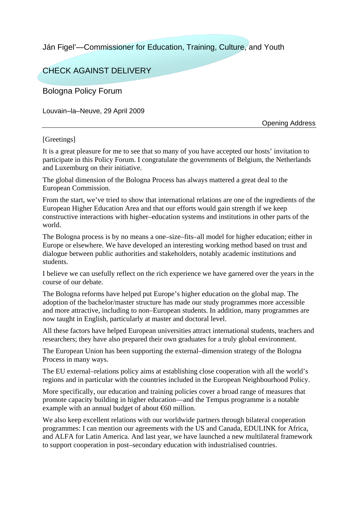Ján Figel'—Commissioner for Education, Training, Culture, and Youth

## CHECK AGAINST DELIVERY

Bologna Policy Forum

Louvain–la–Neuve, 29 April 2009

Opening Address

## [Greetings]

It is a great pleasure for me to see that so many of you have accepted our hosts' invitation to participate in this Policy Forum. I congratulate the governments of Belgium, the Netherlands and Luxemburg on their initiative.

The global dimension of the Bologna Process has always mattered a great deal to the European Commission.

From the start, we've tried to show that international relations are one of the ingredients of the European Higher Education Area and that our efforts would gain strength if we keep constructive interactions with higher–education systems and institutions in other parts of the world.

The Bologna process is by no means a one–size–fits–all model for higher education; either in Europe or elsewhere. We have developed an interesting working method based on trust and dialogue between public authorities and stakeholders, notably academic institutions and students.

I believe we can usefully reflect on the rich experience we have garnered over the years in the course of our debate.

The Bologna reforms have helped put Europe's higher education on the global map. The adoption of the bachelor/master structure has made our study programmes more accessible and more attractive, including to non–European students. In addition, many programmes are now taught in English, particularly at master and doctoral level.

All these factors have helped European universities attract international students, teachers and researchers; they have also prepared their own graduates for a truly global environment.

The European Union has been supporting the external–dimension strategy of the Bologna Process in many ways.

The EU external–relations policy aims at establishing close cooperation with all the world's regions and in particular with the countries included in the European Neighbourhood Policy.

More specifically, our education and training policies cover a broad range of measures that promote capacity building in higher education—and the Tempus programme is a notable example with an annual budget of about €60 million.

We also keep excellent relations with our worldwide partners through bilateral cooperation programmes: I can mention our agreements with the US and Canada, EDULINK for Africa, and ALFA for Latin America. And last year, we have launched a new multilateral framework to support cooperation in post–secondary education with industrialised countries.